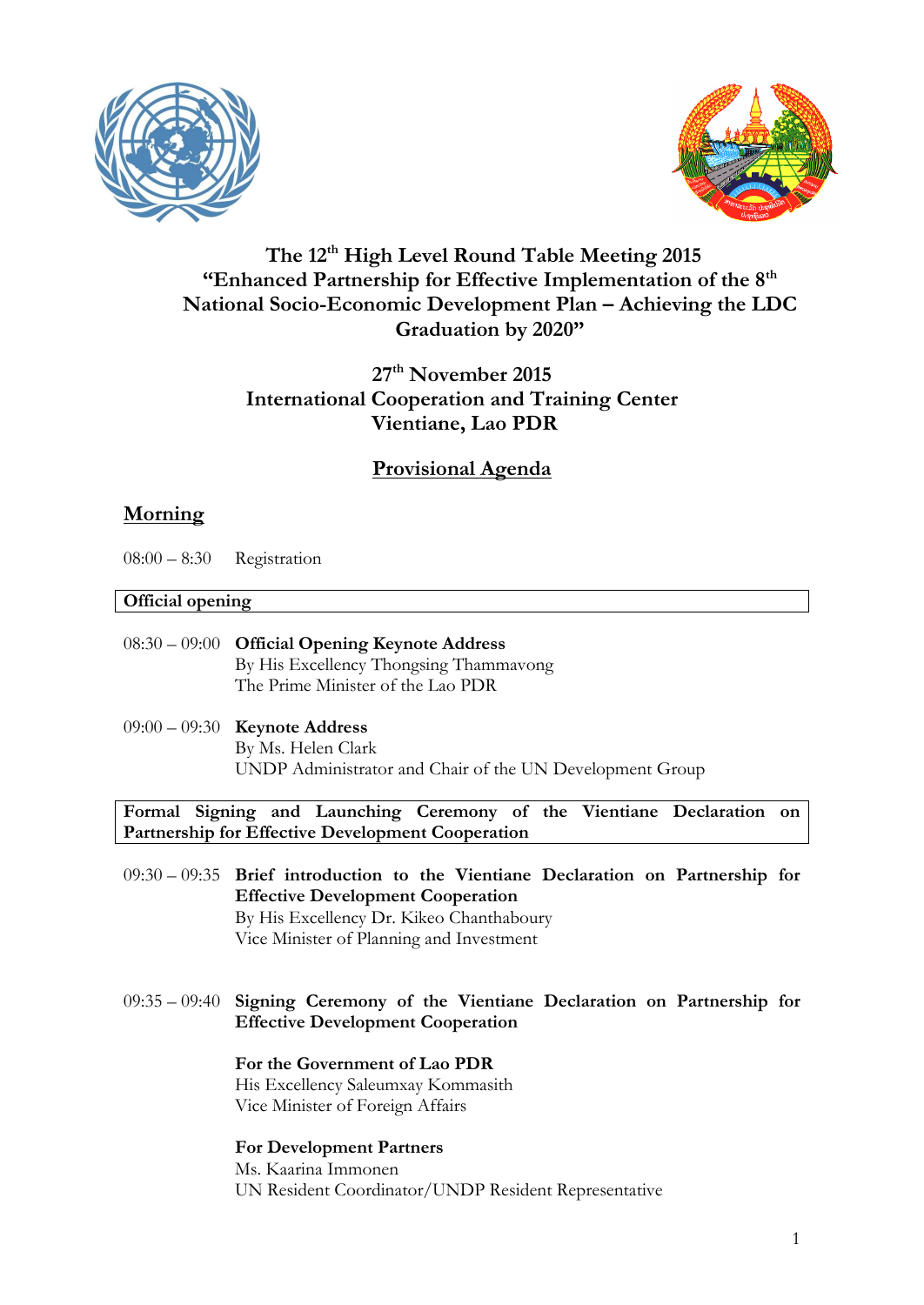



# **The 12th High Level Round Table Meeting 2015 "Enhanced Partnership for Effective Implementation of the 8th National Socio-Economic Development Plan – Achieving the LDC Graduation by 2020"**

# **27th November 2015 International Cooperation and Training Center Vientiane, Lao PDR**

# **Provisional Agenda**

# **Morning**

08:00 – 8:30 Registration

## **Official opening**

- 08:30 09:00 **Official Opening Keynote Address**  By His Excellency Thongsing Thammavong The Prime Minister of the Lao PDR
- 09:00 09:30 **Keynote Address**  By Ms. Helen Clark UNDP Administrator and Chair of the UN Development Group

**Formal Signing and Launching Ceremony of the Vientiane Declaration on Partnership for Effective Development Cooperation**

- 09:30 09:35 **Brief introduction to the Vientiane Declaration on Partnership for Effective Development Cooperation**  By His Excellency Dr. Kikeo Chanthaboury Vice Minister of Planning and Investment
- 09:35 09:40 **Signing Ceremony of the Vientiane Declaration on Partnership for Effective Development Cooperation**

#### **For the Government of Lao PDR**  His Excellency Saleumxay Kommasith

Vice Minister of Foreign Affairs

## **For Development Partners**

Ms. Kaarina Immonen UN Resident Coordinator/UNDP Resident Representative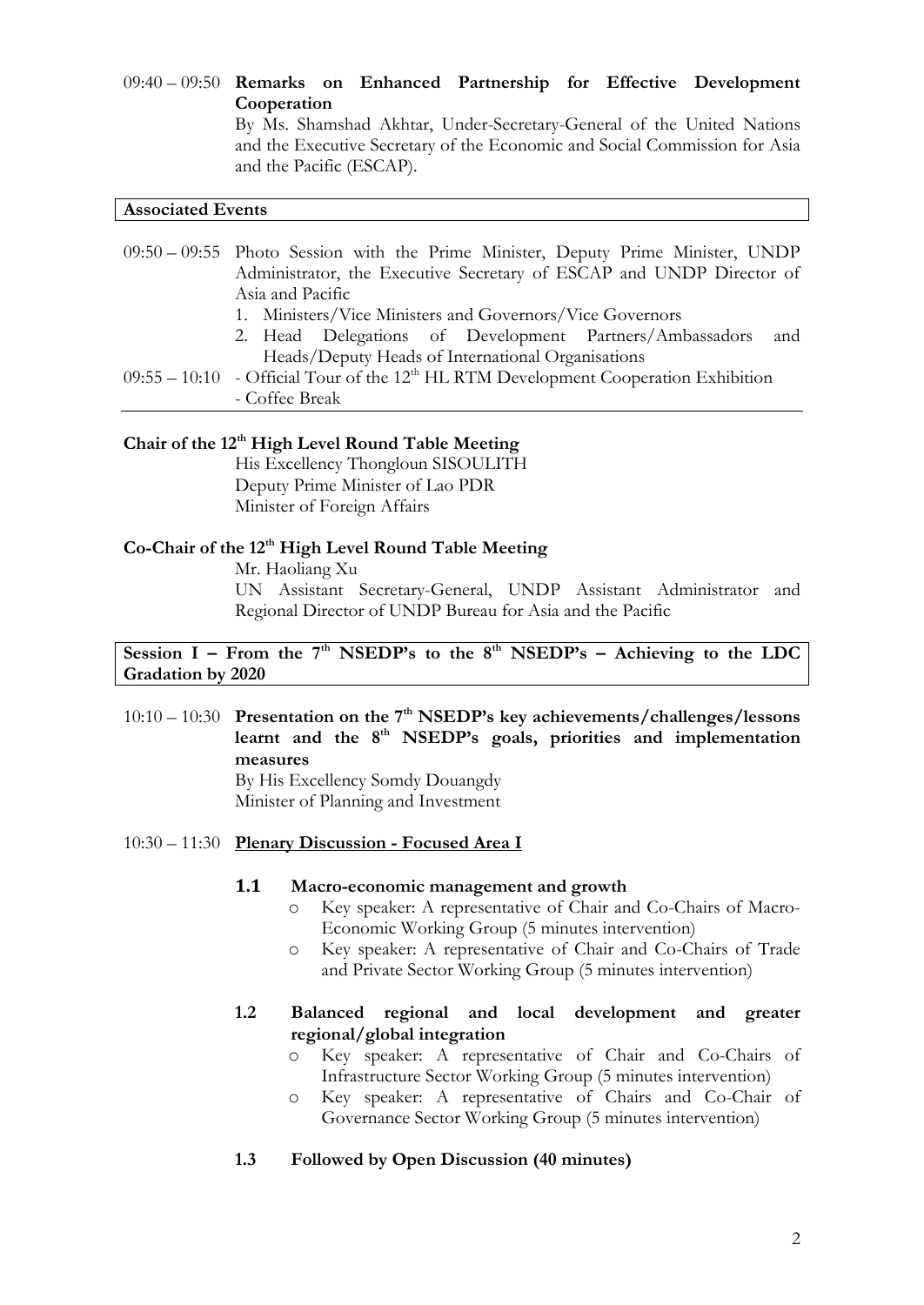09:40 – 09:50 **Remarks on Enhanced Partnership for Effective Development Cooperation** By Ms. Shamshad Akhtar, Under-Secretary-General of the United Nations and the Executive Secretary of the Economic and Social Commission for Asia and the Pacific (ESCAP).

#### **Associated Events**

09:50 – 09:55 Photo Session with the Prime Minister, Deputy Prime Minister, UNDP Administrator, the Executive Secretary of ESCAP and UNDP Director of Asia and Pacific

- 1. Ministers/Vice Ministers and Governors/Vice Governors
- 2. Head Delegations of Development Partners/Ambassadors and Heads/Deputy Heads of International Organisations
- $09:55 10:10$  Official Tour of the 12<sup>th</sup> HL RTM Development Cooperation Exhibition - Coffee Break

### **Chair of the 12th High Level Round Table Meeting**

His Excellency Thongloun SISOULITH Deputy Prime Minister of Lao PDR Minister of Foreign Affairs

## **Co-Chair of the 12th High Level Round Table Meeting**

Mr. Haoliang Xu

UN Assistant Secretary-General, UNDP Assistant Administrator and Regional Director of UNDP Bureau for Asia and the Pacific

**Session I – From the**  $7<sup>th</sup>$  **<b>NSEDP's to the 8<sup>th</sup> NSEDP's –** Achieving to the LDC **Gradation by 2020**

10:10 – 10:30 **Presentation on the 7th NSEDP's key achievements/challenges/lessons**  learnt and the 8<sup>th</sup> NSEDP's goals, priorities and implementation **measures** 

By His Excellency Somdy Douangdy Minister of Planning and Investment

#### 10:30 – 11:30 **Plenary Discussion - Focused Area I**

#### **1.1 Macro-economic management and growth**

- o Key speaker: A representative of Chair and Co-Chairs of Macro-Economic Working Group (5 minutes intervention)
- o Key speaker: A representative of Chair and Co-Chairs of Trade and Private Sector Working Group (5 minutes intervention)

#### **1.2 Balanced regional and local development and greater regional/global integration**

- o Key speaker: A representative of Chair and Co-Chairs of Infrastructure Sector Working Group (5 minutes intervention)
- o Key speaker: A representative of Chairs and Co-Chair of Governance Sector Working Group (5 minutes intervention)
- **1.3 Followed by Open Discussion (40 minutes)**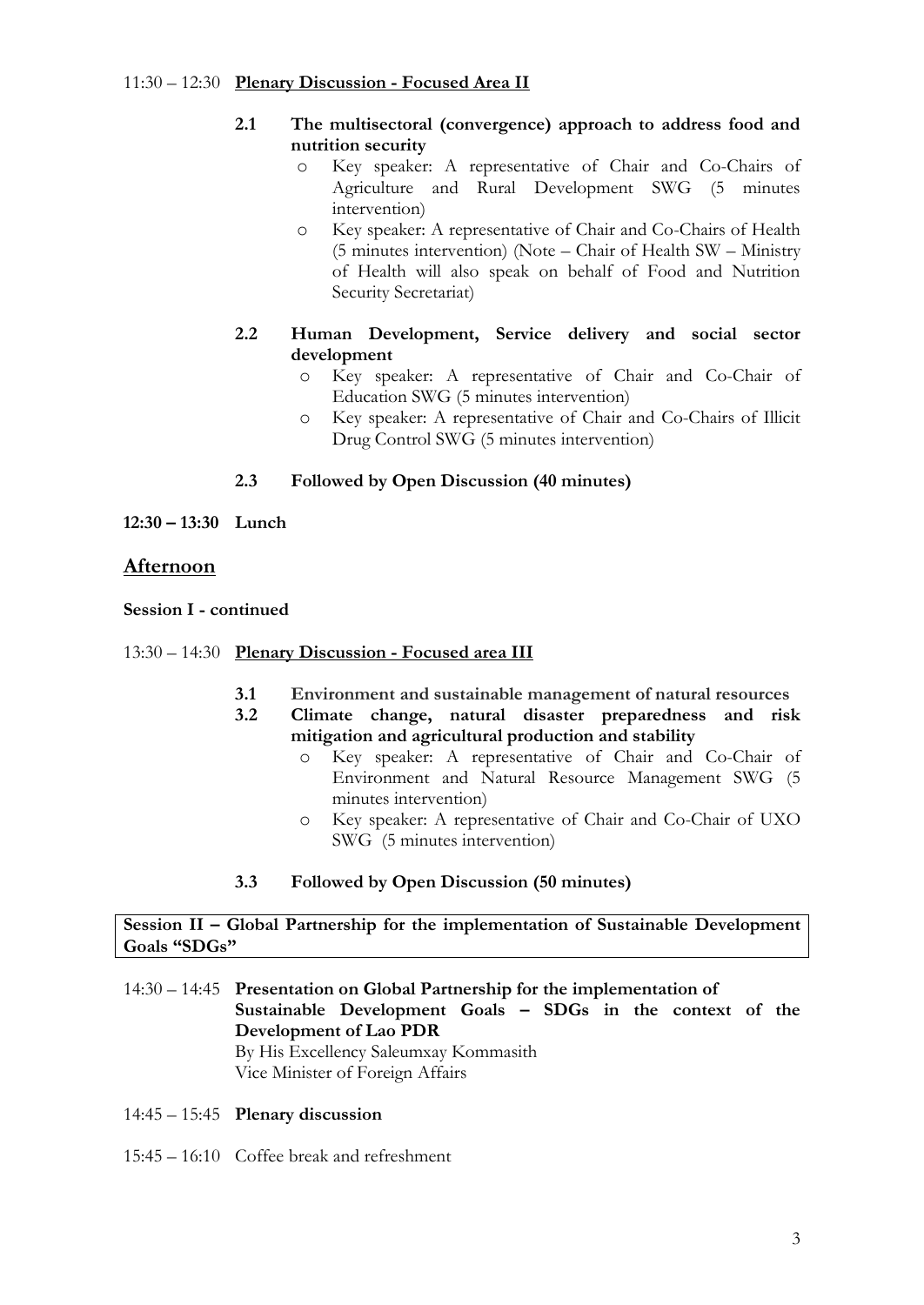### 11:30 – 12:30 **Plenary Discussion - Focused Area II**

### **2.1 The multisectoral (convergence) approach to address food and nutrition security**

- o Key speaker: A representative of Chair and Co-Chairs of Agriculture and Rural Development SWG (5 minutes intervention)
- o Key speaker: A representative of Chair and Co-Chairs of Health (5 minutes intervention) (Note – Chair of Health SW – Ministry of Health will also speak on behalf of Food and Nutrition Security Secretariat)
- **2.2 Human Development, Service delivery and social sector development**
	- o Key speaker: A representative of Chair and Co-Chair of Education SWG (5 minutes intervention)
	- o Key speaker: A representative of Chair and Co-Chairs of Illicit Drug Control SWG (5 minutes intervention)

## **2.3 Followed by Open Discussion (40 minutes)**

**12:30 – 13:30 Lunch** 

## **Afternoon**

#### **Session I - continued**

- 13:30 14:30 **Plenary Discussion - Focused area III**
	- **3.1 Environment and sustainable management of natural resources**
	- **3.2 Climate change, natural disaster preparedness and risk mitigation and agricultural production and stability**
		- o Key speaker: A representative of Chair and Co-Chair of Environment and Natural Resource Management SWG (5 minutes intervention)
		- o Key speaker: A representative of Chair and Co-Chair of UXO SWG (5 minutes intervention)

## **3.3 Followed by Open Discussion (50 minutes)**

#### **Session II – Global Partnership for the implementation of Sustainable Development Goals "SDGs"**

- 14:30 14:45 **Presentation on Global Partnership for the implementation of Sustainable Development Goals – SDGs in the context of the Development of Lao PDR**  By His Excellency Saleumxay Kommasith Vice Minister of Foreign Affairs
- 14:45 15:45 **Plenary discussion**
- 15:45 16:10 Coffee break and refreshment